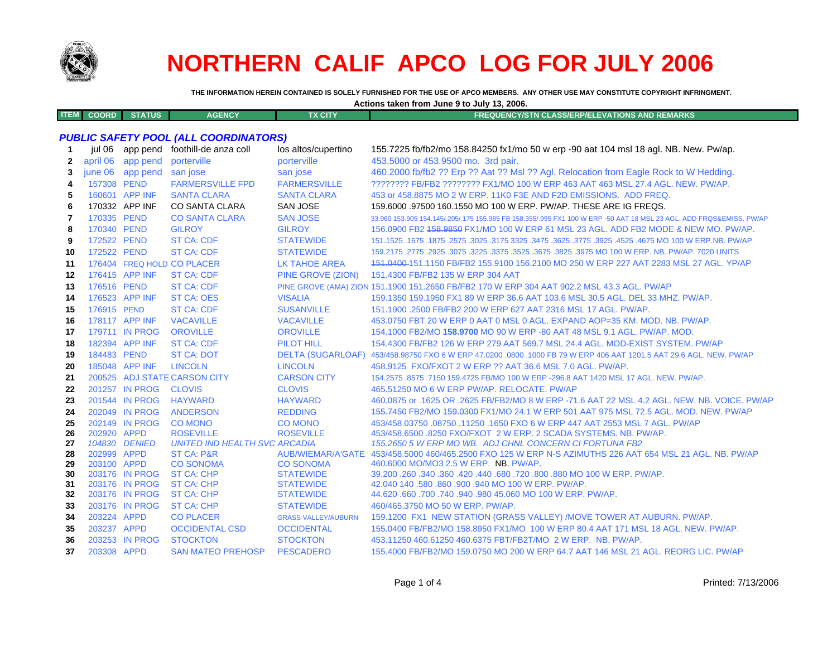

# **NORTHERN CALIF APCO LOG FOR JULY 2006**

THE INFORMATION HEREIN CONTAINED IS SOLELY FURNISHED FOR THE USE OF APCO MEMBERS. ANY OTHER USE MAY CONSTITUTE COPYRIGHT INFRINGMENT.

| Actions taken from June 9 to July 13, 2006. |  |  |
|---------------------------------------------|--|--|
|---------------------------------------------|--|--|

| <b>COORD</b> '<br><b>START AND</b> | <b>TIJS</b> | <b>AGENCY</b> | $\overline{A}$ CITY | STN CLASS/ERP/ELEVATIONS AND REMARKS $^{\prime}$<br><b>FREQUENCY/S1</b> |
|------------------------------------|-------------|---------------|---------------------|-------------------------------------------------------------------------|
|                                    |             |               |                     |                                                                         |

## **PUBLIC SAFETY POOL (ALL COORDINATORS)**

| jul 06   |          |                                                                                                                                                                                                                                                                                                                                                                                                                                                                                                                                                   | los altos/cupertino                                                                                                                                                                                                                     | 155.7225 fb/fb2/mo 158.84250 fx1/mo 50 w erp -90 aat 104 msl 18 agl. NB. New. Pw/ap.                                                              |
|----------|----------|---------------------------------------------------------------------------------------------------------------------------------------------------------------------------------------------------------------------------------------------------------------------------------------------------------------------------------------------------------------------------------------------------------------------------------------------------------------------------------------------------------------------------------------------------|-----------------------------------------------------------------------------------------------------------------------------------------------------------------------------------------------------------------------------------------|---------------------------------------------------------------------------------------------------------------------------------------------------|
| april 06 | app pend | porterville                                                                                                                                                                                                                                                                                                                                                                                                                                                                                                                                       | porterville                                                                                                                                                                                                                             | 453,5000 or 453,9500 mo. 3rd pair.                                                                                                                |
| june 06  | app pend | san jose                                                                                                                                                                                                                                                                                                                                                                                                                                                                                                                                          | san jose                                                                                                                                                                                                                                | 460.2000 fb/fb2 ?? Erp ?? Aat ?? Msl ?? Agl. Relocation from Eagle Rock to W Hedding.                                                             |
|          |          | <b>FARMERSVILLE FPD</b>                                                                                                                                                                                                                                                                                                                                                                                                                                                                                                                           | <b>FARMERSVILLE</b>                                                                                                                                                                                                                     | ???????? FB/FB2 ???????? FX1/MO 100 W ERP 463 AAT 463 MSL 27.4 AGL, NEW, PW/AP,                                                                   |
|          |          | <b>SANTA CLARA</b>                                                                                                                                                                                                                                                                                                                                                                                                                                                                                                                                | <b>SANTA CLARA</b>                                                                                                                                                                                                                      | 453 or 458,8875 MO 2 W ERP, 11K0 F3E AND F2D EMISSIONS. ADD FREQ.                                                                                 |
|          |          | <b>CO SANTA CLARA</b>                                                                                                                                                                                                                                                                                                                                                                                                                                                                                                                             | <b>SAN JOSE</b>                                                                                                                                                                                                                         | 159,6000 .97500 160,1550 MO 100 W ERP, PW/AP, THESE ARE IG FREQS.                                                                                 |
|          |          | <b>CO SANTA CLARA</b>                                                                                                                                                                                                                                                                                                                                                                                                                                                                                                                             | <b>SAN JOSE</b>                                                                                                                                                                                                                         | 33,960 153,905 154,145/.205/.175 155,985 FB 158,355/.995 FX1 100 W ERP -50 AAT 18 MSL 23 AGL. ADD FRQS&EMISS, PW/AP                               |
|          |          | <b>GILROY</b>                                                                                                                                                                                                                                                                                                                                                                                                                                                                                                                                     | <b>GILROY</b>                                                                                                                                                                                                                           | 156,0900 FB2 158,9850 FX1/MO 100 W ERP 61 MSL 23 AGL, ADD FB2 MODE & NEW MO, PW/AP.                                                               |
|          |          | <b>ST CA: CDF</b>                                                                                                                                                                                                                                                                                                                                                                                                                                                                                                                                 | <b>STATEWIDE</b>                                                                                                                                                                                                                        | 151.1525 .1675 .1675 .3025 .3625 .3775 .3925 .3775 .3925 .3775 .3925 .4525 .3925 .1675 .1677 .1625 .1679 .167                                     |
|          |          | <b>ST CA: CDF</b>                                                                                                                                                                                                                                                                                                                                                                                                                                                                                                                                 | <b>STATEWIDE</b>                                                                                                                                                                                                                        | 159,2175,2775,2925,3075,3225,3375,3525,3675,3825,3825,3975 MO 100 W ERP, NB, PW/AP, 7020 UNITS                                                    |
|          |          |                                                                                                                                                                                                                                                                                                                                                                                                                                                                                                                                                   | LK TAHOE AREA                                                                                                                                                                                                                           | 151,0400-151,1150 FB/FB2 155,9100 156,2100 MO 250 W ERP 227 AAT 2283 MSL 27 AGL, YP/AP                                                            |
|          |          | <b>ST CA: CDF</b>                                                                                                                                                                                                                                                                                                                                                                                                                                                                                                                                 | PINE GROVE (ZION)                                                                                                                                                                                                                       | 151.4300 FB/FB2 135 W ERP 304 AAT                                                                                                                 |
|          |          | <b>ST CA: CDF</b>                                                                                                                                                                                                                                                                                                                                                                                                                                                                                                                                 |                                                                                                                                                                                                                                         | PINE GROVE (AMA) ZION 151.1900 151.2650 FB/FB2 170 W ERP 304 AAT 902.2 MSL 43.3 AGL. PW/AP                                                        |
|          |          | <b>ST CA: OES</b>                                                                                                                                                                                                                                                                                                                                                                                                                                                                                                                                 | <b>VISALIA</b>                                                                                                                                                                                                                          | 159.1350 159.1950 FX1 89 W ERP 36.6 AAT 103.6 MSL 30.5 AGL, DEL 33 MHZ, PW/AP.                                                                    |
|          |          | <b>ST CA: CDF</b>                                                                                                                                                                                                                                                                                                                                                                                                                                                                                                                                 | <b>SUSANVILLE</b>                                                                                                                                                                                                                       | 151.1900 .2500 FB/FB2 200 W ERP 627 AAT 2316 MSL 17 AGL, PW/AP.                                                                                   |
|          |          |                                                                                                                                                                                                                                                                                                                                                                                                                                                                                                                                                   | <b>VACAVILLE</b>                                                                                                                                                                                                                        | 453.0750 FBT 20 W ERP 0 AAT 0 MSL 0 AGL. EXPAND AOP=35 KM, MOD, NB, PW/AP.                                                                        |
|          |          | <b>OROVILLE</b>                                                                                                                                                                                                                                                                                                                                                                                                                                                                                                                                   | <b>OROVILLE</b>                                                                                                                                                                                                                         | 154.1000 FB2/MO 158.9700 MO 90 W ERP -80 AAT 48 MSL 9.1 AGL, PW/AP, MOD.                                                                          |
|          |          | <b>ST CA: CDF</b>                                                                                                                                                                                                                                                                                                                                                                                                                                                                                                                                 | <b>PILOT HILL</b>                                                                                                                                                                                                                       | 154,4300 FB/FB2 126 W ERP 279 AAT 569.7 MSL 24.4 AGL, MOD-EXIST SYSTEM, PW/AP                                                                     |
|          |          | <b>ST CA: DOT</b>                                                                                                                                                                                                                                                                                                                                                                                                                                                                                                                                 | <b>DELTA (SUGARLOAF)</b>                                                                                                                                                                                                                | 453/458.98750 FXO 6 W ERP 47.0200 .0800 .1000 FB 79 W ERP 406 AAT 1201.5 AAT 29.6 AGL. NEW. PW/AP                                                 |
|          |          | <b>LINCOLN</b>                                                                                                                                                                                                                                                                                                                                                                                                                                                                                                                                    | <b>LINCOLN</b>                                                                                                                                                                                                                          | 458.9125 FXO/FXOT 2 W ERP ?? AAT 36.6 MSL 7.0 AGL, PW/AP.                                                                                         |
|          |          |                                                                                                                                                                                                                                                                                                                                                                                                                                                                                                                                                   | <b>CARSON CITY</b>                                                                                                                                                                                                                      | 154.2575 .8575 .7150 159.4725 FB/MO 100 W ERP -296.8 AAT 1420 MSL 17 AGL. NEW. PW/AP.                                                             |
|          |          | <b>CLOVIS</b>                                                                                                                                                                                                                                                                                                                                                                                                                                                                                                                                     | <b>CLOVIS</b>                                                                                                                                                                                                                           | 465.51250 MO 6 W ERP PW/AP, RELOCATE, PW/AP                                                                                                       |
|          |          | <b>HAYWARD</b>                                                                                                                                                                                                                                                                                                                                                                                                                                                                                                                                    | <b>HAYWARD</b>                                                                                                                                                                                                                          | 460.0875 or .1625 OR .2625 FB/FB2/MO 8 W ERP -71.6 AAT 22 MSL 4.2 AGL, NEW, NB, VOICE, PW/AP                                                      |
|          |          | <b>ANDERSON</b>                                                                                                                                                                                                                                                                                                                                                                                                                                                                                                                                   | <b>REDDING</b>                                                                                                                                                                                                                          | 155,7450 FB2/MO 159,0300 FX1/MO 24.1 W ERP 501 AAT 975 MSL 72.5 AGL, MOD, NEW, PW/AP                                                              |
|          |          | <b>CO MONO</b>                                                                                                                                                                                                                                                                                                                                                                                                                                                                                                                                    | <b>CO MONO</b>                                                                                                                                                                                                                          | 453/458.03750.08750.11250.1650 FXO 6 W ERP 447 AAT 2553 MSL 7 AGL, PW/AP                                                                          |
|          |          |                                                                                                                                                                                                                                                                                                                                                                                                                                                                                                                                                   |                                                                                                                                                                                                                                         | 453/458,6500,8250 FXO/FXOT 2 W ERP, 2 SCADA SYSTEMS, NB, PW/AP.                                                                                   |
|          |          |                                                                                                                                                                                                                                                                                                                                                                                                                                                                                                                                                   |                                                                                                                                                                                                                                         | 155.2650 5 W ERP MO WB. ADJ CHNL CONCERN CI FORTUNA FB2                                                                                           |
|          |          |                                                                                                                                                                                                                                                                                                                                                                                                                                                                                                                                                   |                                                                                                                                                                                                                                         | AUB/WIEMAR/A'GATE 453/458.5000 460/465.2500 FXO 125 W ERP N-S AZIMUTHS 226 AAT 654 MSL 21 AGL. NB. PW/AP<br>460.6000 MO/MO3 2.5 W ERP. NB. PW/AP. |
|          |          |                                                                                                                                                                                                                                                                                                                                                                                                                                                                                                                                                   |                                                                                                                                                                                                                                         | 39,200,260,340,360,420,440,680,720,800,880 MO 100 W ERP, PW/AP.                                                                                   |
|          |          |                                                                                                                                                                                                                                                                                                                                                                                                                                                                                                                                                   |                                                                                                                                                                                                                                         | 42.040 140 .580 .860 .900 .940 MO 100 W ERP. PW/AP.                                                                                               |
|          |          | <b>ST CA: CHP</b>                                                                                                                                                                                                                                                                                                                                                                                                                                                                                                                                 | <b>STATEWIDE</b>                                                                                                                                                                                                                        | 44.620,660,700,740,940,980,45,060 MO 100 W ERP, PW/AP.                                                                                            |
|          |          | <b>ST CA: CHP</b>                                                                                                                                                                                                                                                                                                                                                                                                                                                                                                                                 | <b>STATEWIDE</b>                                                                                                                                                                                                                        | 460/465.3750 MO 50 W ERP. PW/AP.                                                                                                                  |
|          |          | <b>CO PLACER</b>                                                                                                                                                                                                                                                                                                                                                                                                                                                                                                                                  | <b>GRASS VALLEY/AUBURN</b>                                                                                                                                                                                                              | 159.1200 FX1 NEW STATION (GRASS VALLEY) /MOVE TOWER AT AUBURN. PW/AP.                                                                             |
|          |          | <b>OCCIDENTAL CSD</b>                                                                                                                                                                                                                                                                                                                                                                                                                                                                                                                             | <b>OCCIDENTAL</b>                                                                                                                                                                                                                       | 155,0400 FB/FB2/MO 158,8950 FX1/MO 100 W ERP 80.4 AAT 171 MSL 18 AGL, NEW, PW/AP,                                                                 |
|          |          |                                                                                                                                                                                                                                                                                                                                                                                                                                                                                                                                                   | <b>STOCKTON</b>                                                                                                                                                                                                                         | 453.11250 460.61250 460.6375 FBT/FB2T/MO 2 W ERP. NB. PW/AP.                                                                                      |
|          |          | <b>SAN MATEO PREHOSP</b>                                                                                                                                                                                                                                                                                                                                                                                                                                                                                                                          | <b>PESCADERO</b>                                                                                                                                                                                                                        | 155,4000 FB/FB2/MO 159,0750 MO 200 W ERP 64.7 AAT 146 MSL 21 AGL, REORG LIC, PW/AP                                                                |
|          |          | 157308 PEND<br>160601 APP INF<br>170332 APP INF<br>170335 PEND<br>170340 PEND<br>172522 PEND<br>172522 PEND<br>176415 APP INF<br>176516 PEND<br>176523 APP INF<br>176915 PEND<br>178117 APP INF<br>179711 IN PROG<br>182394 APP INF<br>184483 PEND<br>185048 APP INF<br>201257 IN PROG<br>201544 IN PROG<br>202049 IN PROG<br>202149 IN PROG<br>202920 APPD<br>104830 DENIED<br>202999 APPD<br>203100 APPD<br>203176 IN PROG<br>203176 IN PROG<br>203176 IN PROG<br>203176 IN PROG<br>203224 APPD<br>203237 APPD<br>203253 IN PROG<br>203308 APPD | app pend foothill-de anza coll<br>176404 FREQ HOLD CO PLACER<br><b>VACAVILLE</b><br>200525 ADJ STATE CARSON CITY<br><b>ROSEVILLE</b><br><b>ST CA: P&amp;R</b><br><b>CO SONOMA</b><br><b>ST CA: CHP</b><br>ST CA: CHP<br><b>STOCKTON</b> | <b>ROSEVILLE</b><br><b>UNITED IND HEALTH SVC ARCADIA</b><br><b>CO SONOMA</b><br><b>STATEWIDE</b><br><b>STATEWIDE</b>                              |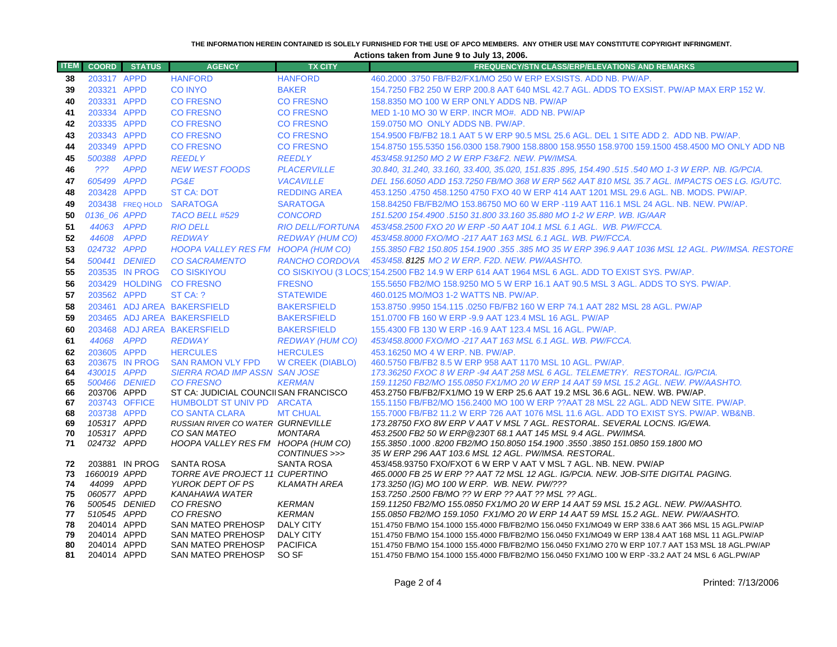#### **THE INFORMATION HEREIN CONTAINED IS SOLELY FURNISHED FOR THE USE OF APCO MEMBERS. ANY OTHER USE MAY CONSTITUTE COPYRIGHT INFRINGMENT.**

**Actions taken from June 9 to July 13, 2006.**

| <b>ITEM</b> | <b>COORD</b> | <b>STATUS</b>    | <b>AGENCY</b>                                              | <b>TX CITY</b>                 | <b>FREQUENCY/STN CLASS/ERP/ELEVATIONS AND REMARKS</b>                                                                                                                 |
|-------------|--------------|------------------|------------------------------------------------------------|--------------------------------|-----------------------------------------------------------------------------------------------------------------------------------------------------------------------|
| 38          | 203317 APPD  |                  | <b>HANFORD</b>                                             | <b>HANFORD</b>                 | 460,2000,3750 FB/FB2/FX1/MO 250 W ERP EXSISTS, ADD NB, PW/AP.                                                                                                         |
| 39          | 203321 APPD  |                  | <b>CO INYO</b>                                             | <b>BAKER</b>                   | 154.7250 FB2 250 W ERP 200.8 AAT 640 MSL 42.7 AGL. ADDS TO EXSIST. PW/AP MAX ERP 152 W.                                                                               |
| 40          | 203331 APPD  |                  | <b>CO FRESNO</b>                                           | <b>CO FRESNO</b>               | 158.8350 MO 100 W ERP ONLY ADDS NB. PW/AP                                                                                                                             |
| 41          | 203334 APPD  |                  | <b>CO FRESNO</b>                                           | <b>CO FRESNO</b>               | MED 1-10 MO 30 W ERP. INCR MO#. ADD NB. PW/AP                                                                                                                         |
| 42          | 203335 APPD  |                  | <b>CO FRESNO</b>                                           | <b>CO FRESNO</b>               | 159.0750 MO ONLY ADDS NB, PW/AP.                                                                                                                                      |
| 43          | 203343 APPD  |                  | <b>CO FRESNO</b>                                           | <b>CO FRESNO</b>               | 154.9500 FB/FB2 18.1 AAT 5 W ERP 90.5 MSL 25.6 AGL. DEL 1 SITE ADD 2. ADD NB. PW/AP.                                                                                  |
| 44          | 203349 APPD  |                  | <b>CO FRESNO</b>                                           | <b>CO FRESNO</b>               | 154.8750 155.5350 156.0300 158.7900 158.8800 158.9550 158.9700 159.1500 458.4500 MO ONLY ADD NB                                                                       |
| 45          | 500388 APPD  |                  | <b>REEDLY</b>                                              | <b>REEDLY</b>                  | 453/458.91250 MO 2 W ERP F3&F2. NEW. PW/IMSA.                                                                                                                         |
| 46          | ???          | <b>APPD</b>      | <b>NEW WEST FOODS</b>                                      | <b>PLACERVILLE</b>             | 30.840, 31.240, 33.160, 33.400, 35.020, 151.835 .895, 154.490 .515 .540 MO 1-3 W ERP. NB. IG/PCIA.                                                                    |
| 47          | 605499 APPD  |                  | PG&E                                                       | <b>VACAVILLE</b>               | DEL 156.6050 ADD 153.7250 FB/MO 368 W ERP 562 AAT 810 MSL 35.7 AGL. IMPACTS OES LG. IG/UTC.                                                                           |
| 48          | 203428 APPD  |                  | <b>ST CA: DOT</b>                                          | <b>REDDING AREA</b>            | 453.1250 .4750 458.1250 4750 FXO 40 W ERP 414 AAT 1201 MSL 29.6 AGL. NB. MODS. PW/AP.                                                                                 |
| 49          |              | 203438 FREQ HOLD | <b>SARATOGA</b>                                            | <b>SARATOGA</b>                | 158.84250 FB/FB2/MO 153.86750 MO 60 W ERP -119 AAT 116.1 MSL 24 AGL, NB, NEW, PW/AP,                                                                                  |
| 50          | 0136 06 APPD |                  | TACO BELL #529                                             | <b>CONCORD</b>                 | 151.5200 154.4900 .5150 31.800 33.160 35.880 MO 1-2 W ERP. WB. IG/AAR                                                                                                 |
| 51          | 44063 APPD   |                  | <b>RIO DELL</b>                                            | <b>RIO DELL/FORTUNA</b>        | 453/458.2500 FXO 20 W ERP -50 AAT 104.1 MSL 6.1 AGL. WB. PW/FCCA.                                                                                                     |
| 52          | 44608        | <b>APPD</b>      | <b>REDWAY</b>                                              | REDWAY (HUM CO)                | 453/458.8000 FXO/MO -217 AAT 163 MSL 6.1 AGL, WB, PW/FCCA,                                                                                                            |
| 53          | 024732 APPD  |                  | HOOPA VALLEY RES FM HOOPA (HUM CO)                         |                                | 155.3850 FB2 150.805 154.1900 .355 .385 MO 35 W ERP 396.9 AAT 1036 MSL 12 AGL. PW/IMSA. RESTORE                                                                       |
| 54          |              | 500441 DENIED    | <b>CO SACRAMENTO</b>                                       | <b>RANCHO CORDOVA</b>          | 453/458.8125 MO 2 W ERP. F2D. NEW. PW/AASHTO.                                                                                                                         |
| 55          |              | 203535 IN PROG   | <b>CO SISKIYOU</b>                                         |                                | CO SISKIYOU (3 LOCS 154.2500 FB2 14.9 W ERP 614 AAT 1964 MSL 6 AGL. ADD TO EXIST SYS. PW/AP.                                                                          |
| 56          |              |                  | 203429 HOLDING CO FRESNO                                   | <b>FRESNO</b>                  | 155,5650 FB2/MO 158,9250 MO 5 W ERP 16.1 AAT 90.5 MSL 3 AGL, ADDS TO SYS, PW/AP.                                                                                      |
| 57          | 203562 APPD  |                  | ST CA: ?                                                   | <b>STATEWIDE</b>               | 460.0125 MO/MO3 1-2 WATTS NB. PW/AP.                                                                                                                                  |
| 58          |              |                  | 203461 ADJ AREA BAKERSFIELD                                | <b>BAKERSFIELD</b>             | 153.8750 .9950 154.115 .0250 FB/FB2 160 W ERP 74.1 AAT 282 MSL 28 AGL. PW/AP                                                                                          |
| 59          |              |                  | 203465 ADJ AREA BAKERSFIELD                                | <b>BAKERSFIELD</b>             | 151.0700 FB 160 W ERP -9.9 AAT 123.4 MSL 16 AGL. PW/AP                                                                                                                |
| 60          |              |                  | 203468 ADJ AREA BAKERSFIELD                                | <b>BAKERSFIELD</b>             | 155.4300 FB 130 W ERP -16.9 AAT 123.4 MSL 16 AGL. PW/AP.                                                                                                              |
| 61          | 44068 APPD   |                  | <b>REDWAY</b>                                              | <b>REDWAY (HUM CO)</b>         | 453/458.8000 FXO/MO -217 AAT 163 MSL 6.1 AGL, WB, PW/FCCA,                                                                                                            |
| 62          | 203605 APPD  |                  | <b>HERCULES</b>                                            | <b>HERCULES</b>                | 453.16250 MO 4 W ERP. NB. PW/AP.                                                                                                                                      |
| 63          |              | 203675 IN PROG   | <b>SAN RAMON VLY FPD</b>                                   | <b>W CREEK (DIABLO)</b>        | 460.5750 FB/FB2 8.5 W ERP 958 AAT 1170 MSL 10 AGL, PW/AP.                                                                                                             |
| 64          | 430015 APPD  |                  | <b>SIERRA ROAD IMP ASSN SAN JOSE</b>                       |                                | 173.36250 FXOC 8 W ERP -94 AAT 258 MSL 6 AGL. TELEMETRY. RESTORAL. IG/PCIA.                                                                                           |
| 65          |              | 500466 DENIED    | <b>CO FRESNO</b>                                           | <b>KERMAN</b>                  | 159.11250 FB2/MO 155.0850 FX1/MO 20 W ERP 14 AAT 59 MSL 15.2 AGL. NEW. PW/AASHTO.                                                                                     |
| 66          | 203706 APPD  |                  | ST CA: JUDICIAL COUNCIISAN FRANCISCO                       |                                | 453.2750 FB/FB2/FX1/MO 19 W ERP 25.6 AAT 19.2 MSL 36.6 AGL. NEW. WB. PW/AP.                                                                                           |
| 67<br>68    | 203738 APPD  | 203743 OFFICE    | HUMBOLDT ST UNIV PD ARCATA                                 |                                | 155.1150 FB/FB2/MO 156.2400 MO 100 W ERP ??AAT 28 MSL 22 AGL. ADD NEW SITE. PW/AP.                                                                                    |
| 69          | 105317 APPD  |                  | <b>CO SANTA CLARA</b><br>RUSSIAN RIVER CO WATER GURNEVILLE | <b>MT CHUAL</b>                | 155,7000 FB/FB2 11.2 W ERP 726 AAT 1076 MSL 11.6 AGL, ADD TO EXIST SYS, PW/AP, WB&NB,<br>173.28750 FXO 8W ERP V AAT V MSL 7 AGL. RESTORAL. SEVERAL LOCNS. IG/EWA.     |
| 70          | 105317 APPD  |                  | CO SAN MATEO                                               | <b>MONTARA</b>                 | 453.2500 FB2 50 W ERP @230T 68.1 AAT 145 MSL 9.4 AGL. PW/IMSA.                                                                                                        |
| 71          | 024732 APPD  |                  | HOOPA VALLEY RES FM HOOPA (HUM CO)                         |                                | 155.3850 .1000 .8200 FB2/MO 150.8050 154.1900 .3550 .3850 151.0850 159.1800 MO                                                                                        |
|             |              |                  |                                                            | CONTINUES >>>                  | 35 W ERP 296 AAT 103.6 MSL 12 AGL. PW/IMSA. RESTORAL.                                                                                                                 |
| 72          |              | 203881 IN PROG   | SANTA ROSA                                                 | <b>SANTA ROSA</b>              | 453/458.93750 FXO/FXOT 6 W ERP V AAT V MSL 7 AGL. NB. NEW. PW/AP                                                                                                      |
| 73          | 1660019 APPD |                  | TORRE AVE PROJECT 11 CUPERTINO                             |                                | 465.0000 FB 25 W ERP ?? AAT 72 MSL 12 AGL. IG/PCIA. NEW. JOB-SITE DIGITAL PAGING.                                                                                     |
| 74          | 44099 APPD   |                  | YUROK DEPT OF PS                                           | <b>KLAMATH AREA</b>            | 173.3250 (IG) MO 100 W ERP. WB. NEW. PW/???                                                                                                                           |
| 75          | 060577 APPD  |                  | <b>KANAHAWA WATER</b>                                      |                                | 153.7250 .2500 FB/MO ?? W ERP ?? AAT ?? MSL ?? AGL.                                                                                                                   |
| 76<br>77    | 510545 APPD  | 500545 DENIED    | CO FRESNO<br>CO FRESNO                                     | <b>KERMAN</b><br><b>KERMAN</b> | 159.11250 FB2/MO 155.0850 FX1/MO 20 W ERP 14 AAT 59 MSL 15.2 AGL. NEW. PW/AASHTO.<br>155.0850 FB2/MO 159.1050 FX1/MO 20 W ERP 14 AAT 59 MSL 15.2 AGL. NEW. PW/AASHTO. |
| 78          | 204014 APPD  |                  | SAN MATEO PREHOSP                                          | <b>DALY CITY</b>               | 151.4750 FB/MO 154.1000 155.4000 FB/FB2/MO 156.0450 FX1/MO49 W ERP 338.6 AAT 366 MSL 15 AGL.PW/AP                                                                     |
| 79          | 204014 APPD  |                  | <b>SAN MATEO PREHOSP</b>                                   | <b>DALY CITY</b>               | 151.4750 FB/MO 154.1000 155.4000 FB/FB2/MO 156.0450 FX1/MO49 W ERP 138.4 AAT 168 MSL 11 AGL.PW/AP                                                                     |
| 80          | 204014 APPD  |                  | <b>SAN MATEO PREHOSP</b>                                   | <b>PACIFICA</b>                | 151.4750 FB/MO 154.1000 155.4000 FB/FB2/MO 156.0450 FX1/MO 270 W ERP 107.7 AAT 153 MSL 18 AGL.PW/AP                                                                   |
| 81          | 204014 APPD  |                  | <b>SAN MATEO PREHOSP</b>                                   | SO SF                          | 151.4750 FB/MO 154.1000 155.4000 FB/FB2/MO 156.0450 FX1/MO 100 W ERP -33.2 AAT 24 MSL 6 AGL.PW/AP                                                                     |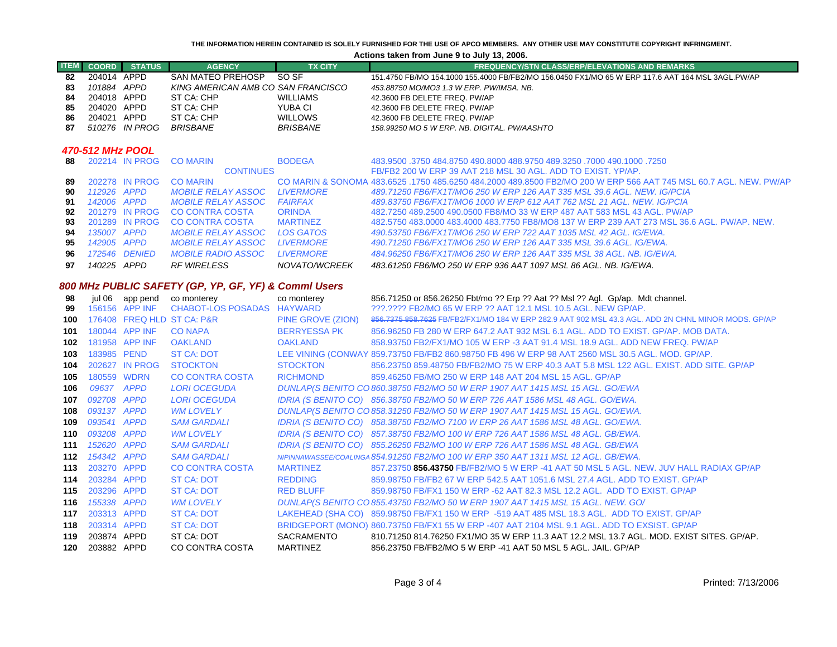#### **THE INFORMATION HEREIN CONTAINED IS SOLELY FURNISHED FOR THE USE OF APCO MEMBERS. ANY OTHER USE MAY CONSTITUTE COPYRIGHT INFRINGMENT.**

### **Actions taken from June 9 to July 13, 2006.**

|                  |              |                 |                                                      |                     | Actions taken from June 9 to July 13, 2006.                                                                       |  |  |
|------------------|--------------|-----------------|------------------------------------------------------|---------------------|-------------------------------------------------------------------------------------------------------------------|--|--|
| <b>ITEM</b>      | <b>COORD</b> | <b>STATUS</b>   | <b>AGENCY</b>                                        | <b>TX CITY</b>      | <b>FREQUENCY/STN CLASS/ERP/ELEVATIONS AND REMARKS</b>                                                             |  |  |
| 82               | 204014 APPD  |                 | <b>SAN MATEO PREHOSP</b>                             | SO <sub>SF</sub>    | 151.4750 FB/MO 154.1000 155.4000 FB/FB2/MO 156.0450 FX1/MO 65 W ERP 117.6 AAT 164 MSL 3AGL.PW/AP                  |  |  |
| 83               | 101884 APPD  |                 | KING AMERICAN AMB CO SAN FRANCISCO                   |                     | 453.88750 MO/MO3 1.3 W ERP. PW/IMSA. NB.                                                                          |  |  |
| 84               | 204018 APPD  |                 | ST CA: CHP                                           | <b>WILLIAMS</b>     | 42.3600 FB DELETE FREQ. PW/AP                                                                                     |  |  |
| 85               | 204020 APPD  |                 | ST CA: CHP                                           | YUBA CI             | 42.3600 FB DELETE FREQ. PW/AP                                                                                     |  |  |
| 86               | 204021 APPD  |                 | ST CA: CHP                                           | <b>WILLOWS</b>      | 42.3600 FB DELETE FREQ. PW/AP                                                                                     |  |  |
| 87               |              | 510276 IN PROG  | <b>BRISBANE</b>                                      | <b>BRISBANE</b>     | 158.99250 MO 5 W ERP. NB. DIGITAL. PW/AASHTO                                                                      |  |  |
| 470-512 MHz POOL |              |                 |                                                      |                     |                                                                                                                   |  |  |
| 88               |              | 202214 IN PROG  | <b>CO MARIN</b>                                      | <b>BODEGA</b>       | 483,9500 .3750 484.8750 490.8000 488.9750 489.3250 .7000 490.1000 .3750                                           |  |  |
|                  |              |                 | <b>CONTINUES</b>                                     |                     | FB/FB2 200 W ERP 39 AAT 218 MSL 30 AGL, ADD TO EXIST, YP/AP.                                                      |  |  |
| 89               |              | 202278 IN PROG  | <b>CO MARIN</b>                                      |                     | CO MARIN & SONOMA 483,6525, 1750 485,6250 484,2000 489,8500 FB2/MO 200 W ERP 566 AAT 745 MSL 60.7 AGL, NEW, PW/AP |  |  |
| 90               | 112926 APPD  |                 | <b>MOBILE RELAY ASSOC</b>                            | <b>LIVERMORE</b>    | 489.71250 FB6/FX1T/MO6 250 W ERP 126 AAT 335 MSL 39.6 AGL, NEW, IG/PCIA                                           |  |  |
| 91               | 142006 APPD  |                 | <b>MOBILE RELAY ASSOC</b>                            | <b>FAIRFAX</b>      | 489.83750 FB6/FX1T/MO6 1000 W ERP 612 AAT 762 MSL 21 AGL. NEW. IG/PCIA                                            |  |  |
| 92               |              | 201279 IN PROG  | <b>CO CONTRA COSTA</b>                               | <b>ORINDA</b>       | 482.7250 489.2500 490.0500 FB8/MO 33 W ERP 487 AAT 583 MSL 43 AGL, PW/AP                                          |  |  |
| 93               |              | 201289 IN PROG  | <b>CO CONTRA COSTA</b>                               | <b>MARTINEZ</b>     | 482,5750 483,0000 483,4000 483,7750 FB8/MO8 137 W ERP 239 AAT 273 MSL 36.6 AGL, PW/AP, NEW.                       |  |  |
| 94               | 135007 APPD  |                 | <b>MOBILE RELAY ASSOC</b>                            | <b>LOS GATOS</b>    | 490.53750 FB6/FX1T/MO6 250 W ERP 722 AAT 1035 MSL 42 AGL. IG/EWA.                                                 |  |  |
| 95               | 142905 APPD  |                 | <b>MOBILE RELAY ASSOC</b>                            | <b>LIVERMORE</b>    | 490.71250 FB6/FX1T/MO6 250 W ERP 126 AAT 335 MSL 39.6 AGL. IG/EWA.                                                |  |  |
| 96               |              | 172546 DENIED   | <b>MOBILE RADIO ASSOC</b>                            | <b>LIVERMORE</b>    | 484.96250 FB6/FX1T/MO6 250 W ERP 126 AAT 335 MSL 38 AGL, NB, IG/EWA,                                              |  |  |
| 97               | 140225 APPD  |                 | <b>RF WIRELESS</b>                                   | NOVATO/WCREEK       | 483.61250 FB6/MO 250 W ERP 936 AAT 1097 MSL 86 AGL. NB. IG/EWA.                                                   |  |  |
|                  |              |                 | 800 MHz PUBLIC SAFETY (GP, YP, GF, YF) & Commi Users |                     |                                                                                                                   |  |  |
| 98               |              | jul 06 app pend | co monterey                                          | co monterey         | 856.71250 or 856.26250 Fbt/mo ?? Erp ?? Aat ?? Msl ?? Agl. Gp/ap. Mdt channel.                                    |  |  |
| 99               |              | 156156 APP INF  | CHABOT-LOS POSADAS HAYWARD                           |                     | 222.2222 FB2/MO 65 W ERP 22 AAT 12.1 MSL 10.5 AGL. NEW GP/AP.                                                     |  |  |
| 100              |              |                 | 176408 FREQ HLD ST CA: P&R                           | PINE GROVE (ZION)   | 856.7375 858.7625 FB/FB2/FX1/MO 184 W ERP 282.9 AAT 902 MSL 43.3 AGL, ADD 2N CHNL MINOR MODS, GP/AP               |  |  |
| 101              |              | 180044 APP INF  | <b>CO NAPA</b>                                       | <b>BERRYESSA PK</b> | 856,96250 FB 280 W ERP 647.2 AAT 932 MSL 6.1 AGL, ADD TO EXIST, GP/AP, MOB DATA,                                  |  |  |
| 102              |              | 181958 APP INF  | <b>OAKLAND</b>                                       | <b>OAKLAND</b>      | 858,93750 FB2/FX1/MO 105 W ERP -3 AAT 91.4 MSL 18.9 AGL, ADD NEW FREQ, PW/AP                                      |  |  |
| 103              | 183985 PEND  |                 | <b>ST CA: DOT</b>                                    |                     | LEE VINING (CONWAY 859.73750 FB/FB2 860.98750 FB 496 W ERP 98 AAT 2560 MSL 30.5 AGL. MOD. GP/AP.                  |  |  |
| 104              |              | 202627 IN PROG  | <b>STOCKTON</b>                                      | <b>STOCKTON</b>     | 856.23750 859.48750 FB/FB2/MO 75 W ERP 40.3 AAT 5.8 MSL 122 AGL, EXIST, ADD SITE, GP/AP                           |  |  |
| 105              | 180559 WDRN  |                 | <b>CO CONTRA COSTA</b>                               | <b>RICHMOND</b>     | 859.46250 FB/MO 250 W ERP 148 AAT 204 MSL 15 AGL, GP/AP                                                           |  |  |
| 106              | 09637 APPD   |                 | <b>LORI OCEGUDA</b>                                  |                     | DUNLAP(S BENITO CO 860.38750 FB2/MO 50 W ERP 1907 AAT 1415 MSL 15 AGL. GO/EWA                                     |  |  |
| 107              | 092708 APPD  |                 | <b>LORI OCEGUDA</b>                                  |                     | IDRIA (S BENITO CO) 856.38750 FB2/MO 50 W ERP 726 AAT 1586 MSL 48 AGL. GO/EWA.                                    |  |  |
| 108              | 093137 APPD  |                 | <b>WM LOVELY</b>                                     |                     | DUNLAP(S BENITO CO 858.31250 FB2/MO 50 W ERP 1907 AAT 1415 MSL 15 AGL. GO/EWA.                                    |  |  |
| 109              | 093541 APPD  |                 | <b>SAM GARDALI</b>                                   |                     | IDRIA (S BENITO CO) 858.38750 FB2/MO 7100 W ERP 26 AAT 1586 MSL 48 AGL. GO/EWA.                                   |  |  |
|                  |              |                 |                                                      |                     |                                                                                                                   |  |  |
| 110              | 093208 APPD  |                 | <b>WM LOVELY</b>                                     |                     | IDRIA (S BENITO CO) 857.38750 FB2/MO 100 W ERP 726 AAT 1586 MSL 48 AGL. GB/EWA.                                   |  |  |

 203314 APPD ST CA: DOT BRIDGEPORT (MONO) 860.73750 FB/FX1 55 W ERP -407 AAT 2104 MSL 9.1 AGL. ADD TO EXSIST. GP/AP **119** 203874 APPD ST CA: DOT SACRAMENTO 810.71250 814.76250 FX1/MO 35 W ERP 11.3 AAT 12.2 MSL 13.7 AGL. MOD. EXIST SITES. GP/AP. 203882 APPD CO CONTRA COSTA MARTINEZ 856.23750 FB/FB2/MO 5 W ERP -41 AAT 50 MSL 5 AGL. JAIL. GP/AP

203284 APPD ST CA: DOT REDDING 859.98750 FB/FB2 67 W ERP 542.5 AAT 1051.6 MSL 27.4 AGL. ADD TO EXIST. GP/AP

203296 APPD ST CA: DOT RED BLUFF 859.98750 FB/FX1 150 W ERP -62 AAT 82.3 MSL 12.2 AGL. ADD TO EXIST. GP/AP

203313 APPD ST CA: DOT LAKEHEAD (SHA CO) 859.98750 FB/FX1 150 W ERP -519 AAT 485 MSL 18.3 AGL. ADD TO EXIST. GP/AP

857.23750 **856.43750** FB/FB2/MO 5 W ERP -41 AAT 50 MSL 5 AGL. NEW. JUV HALL RADIAX GP/AP

*152620 APPD SAM GARDALI IDRIA (S BENITO CO) 855.26250 FB2/MO 100 W ERP 726 AAT 1586 MSL 48 AGL. GB/EWA* 

*154342 APPD SAM GARDALI NIPINNAWASSEE/COALINGA 854.91250 FB2/MO 100 W ERP 350 AAT 1311 MSL 12 AGL. GB/EWA.*

*155338 APPD WM LOVELY DUNLAP(S BENITO C O 855.43750 FB2/MO 50 W ERP 1907 AAT 1415 MSL 15 AGL. NEW. GO/*

CO CONTRA COSTA MARTINEZ

**111**

**112**

**113**

**114**

**115**

**116**

**117**

**118**

**120**